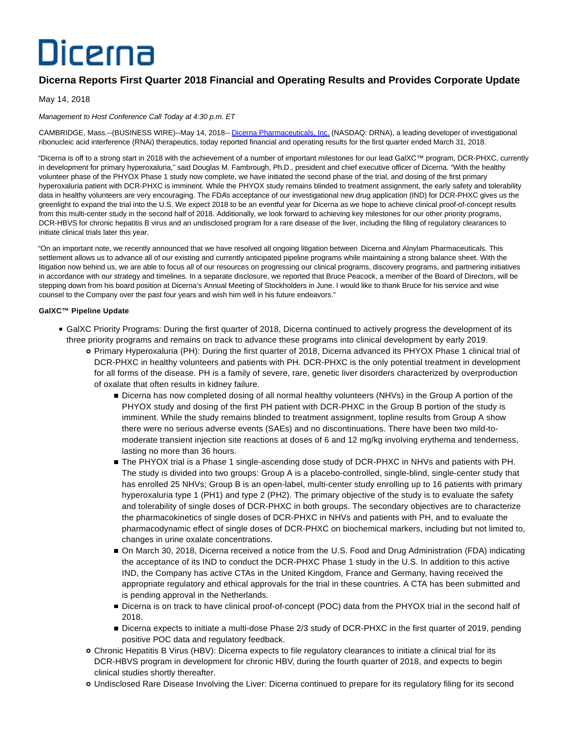# Dicerna

# **Dicerna Reports First Quarter 2018 Financial and Operating Results and Provides Corporate Update**

# May 14, 2018

# Management to Host Conference Call Today at 4:30 p.m. ET

CAMBRIDGE, Mass.--(BUSINESS WIRE)--May 14, 2018-- [Dicerna Pharmaceuticals, Inc. \(](http://cts.businesswire.com/ct/CT?id=smartlink&url=http%3A%2F%2Fdicerna.com%2F&esheet=51806112&newsitemid=20180514006261&lan=en-US&anchor=Dicerna+Pharmaceuticals%2C+Inc.&index=1&md5=ac84ea081a70c3d12ce35c4278cedfcc)NASDAQ: DRNA), a leading developer of investigational ribonucleic acid interference (RNAi) therapeutics, today reported financial and operating results for the first quarter ended March 31, 2018.

"Dicerna is off to a strong start in 2018 with the achievement of a number of important milestones for our lead GalXC™ program, DCR-PHXC, currently in development for primary hyperoxaluria," said Douglas M. Fambrough, Ph.D., president and chief executive officer of Dicerna. "With the healthy volunteer phase of the PHYOX Phase 1 study now complete, we have initiated the second phase of the trial, and dosing of the first primary hyperoxaluria patient with DCR-PHXC is imminent. While the PHYOX study remains blinded to treatment assignment, the early safety and tolerability data in healthy volunteers are very encouraging. The FDA's acceptance of our investigational new drug application (IND) for DCR-PHXC gives us the greenlight to expand the trial into the U.S. We expect 2018 to be an eventful year for Dicerna as we hope to achieve clinical proof-of-concept results from this multi-center study in the second half of 2018. Additionally, we look forward to achieving key milestones for our other priority programs, DCR-HBVS for chronic hepatitis B virus and an undisclosed program for a rare disease of the liver, including the filing of regulatory clearances to initiate clinical trials later this year.

"On an important note, we recently announced that we have resolved all ongoing litigation between Dicerna and Alnylam Pharmaceuticals. This settlement allows us to advance all of our existing and currently anticipated pipeline programs while maintaining a strong balance sheet. With the litigation now behind us, we are able to focus all of our resources on progressing our clinical programs, discovery programs, and partnering initiatives in accordance with our strategy and timelines. In a separate disclosure, we reported that Bruce Peacock, a member of the Board of Directors, will be stepping down from his board position at Dicerna's Annual Meeting of Stockholders in June. I would like to thank Bruce for his service and wise counsel to the Company over the past four years and wish him well in his future endeavors."

# **GalXC™ Pipeline Update**

- GalXC Priority Programs: During the first quarter of 2018, Dicerna continued to actively progress the development of its three priority programs and remains on track to advance these programs into clinical development by early 2019.
	- Primary Hyperoxaluria (PH): During the first quarter of 2018, Dicerna advanced its PHYOX Phase 1 clinical trial of DCR-PHXC in healthy volunteers and patients with PH. DCR-PHXC is the only potential treatment in development for all forms of the disease. PH is a family of severe, rare, genetic liver disorders characterized by overproduction of oxalate that often results in kidney failure.
		- **Dicerna has now completed dosing of all normal healthy volunteers (NHVs) in the Group A portion of the** PHYOX study and dosing of the first PH patient with DCR-PHXC in the Group B portion of the study is imminent. While the study remains blinded to treatment assignment, topline results from Group A show there were no serious adverse events (SAEs) and no discontinuations. There have been two mild-tomoderate transient injection site reactions at doses of 6 and 12 mg/kg involving erythema and tenderness, lasting no more than 36 hours.
		- The PHYOX trial is a Phase 1 single-ascending dose study of DCR-PHXC in NHVs and patients with PH. The study is divided into two groups: Group A is a placebo-controlled, single-blind, single-center study that has enrolled 25 NHVs; Group B is an open-label, multi-center study enrolling up to 16 patients with primary hyperoxaluria type 1 (PH1) and type 2 (PH2). The primary objective of the study is to evaluate the safety and tolerability of single doses of DCR-PHXC in both groups. The secondary objectives are to characterize the pharmacokinetics of single doses of DCR-PHXC in NHVs and patients with PH, and to evaluate the pharmacodynamic effect of single doses of DCR-PHXC on biochemical markers, including but not limited to, changes in urine oxalate concentrations.
		- On March 30, 2018, Dicerna received a notice from the U.S. Food and Drug Administration (FDA) indicating the acceptance of its IND to conduct the DCR-PHXC Phase 1 study in the U.S. In addition to this active IND, the Company has active CTAs in the United Kingdom, France and Germany, having received the appropriate regulatory and ethical approvals for the trial in these countries. A CTA has been submitted and is pending approval in the Netherlands.
		- Dicerna is on track to have clinical proof-of-concept (POC) data from the PHYOX trial in the second half of 2018.
		- Dicerna expects to initiate a multi-dose Phase 2/3 study of DCR-PHXC in the first quarter of 2019, pending positive POC data and regulatory feedback.
	- Chronic Hepatitis B Virus (HBV): Dicerna expects to file regulatory clearances to initiate a clinical trial for its DCR-HBVS program in development for chronic HBV, during the fourth quarter of 2018, and expects to begin clinical studies shortly thereafter.
	- Undisclosed Rare Disease Involving the Liver: Dicerna continued to prepare for its regulatory filing for its second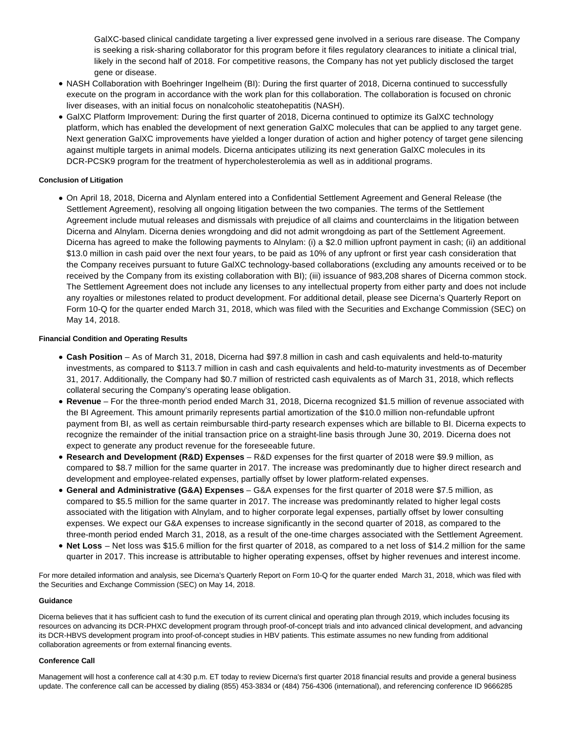GalXC-based clinical candidate targeting a liver expressed gene involved in a serious rare disease. The Company is seeking a risk-sharing collaborator for this program before it files regulatory clearances to initiate a clinical trial, likely in the second half of 2018. For competitive reasons, the Company has not yet publicly disclosed the target gene or disease.

- NASH Collaboration with Boehringer Ingelheim (BI): During the first quarter of 2018, Dicerna continued to successfully execute on the program in accordance with the work plan for this collaboration. The collaboration is focused on chronic liver diseases, with an initial focus on nonalcoholic steatohepatitis (NASH).
- GalXC Platform Improvement: During the first quarter of 2018, Dicerna continued to optimize its GalXC technology platform, which has enabled the development of next generation GalXC molecules that can be applied to any target gene. Next generation GalXC improvements have yielded a longer duration of action and higher potency of target gene silencing against multiple targets in animal models. Dicerna anticipates utilizing its next generation GalXC molecules in its DCR-PCSK9 program for the treatment of hypercholesterolemia as well as in additional programs.

# **Conclusion of Litigation**

On April 18, 2018, Dicerna and Alynlam entered into a Confidential Settlement Agreement and General Release (the Settlement Agreement), resolving all ongoing litigation between the two companies. The terms of the Settlement Agreement include mutual releases and dismissals with prejudice of all claims and counterclaims in the litigation between Dicerna and Alnylam. Dicerna denies wrongdoing and did not admit wrongdoing as part of the Settlement Agreement. Dicerna has agreed to make the following payments to Alnylam: (i) a \$2.0 million upfront payment in cash; (ii) an additional \$13.0 million in cash paid over the next four years, to be paid as 10% of any upfront or first year cash consideration that the Company receives pursuant to future GalXC technology-based collaborations (excluding any amounts received or to be received by the Company from its existing collaboration with BI); (iii) issuance of 983,208 shares of Dicerna common stock. The Settlement Agreement does not include any licenses to any intellectual property from either party and does not include any royalties or milestones related to product development. For additional detail, please see Dicerna's Quarterly Report on Form 10-Q for the quarter ended March 31, 2018, which was filed with the Securities and Exchange Commission (SEC) on May 14, 2018.

#### **Financial Condition and Operating Results**

- **Cash Position** As of March 31, 2018, Dicerna had \$97.8 million in cash and cash equivalents and held-to-maturity investments, as compared to \$113.7 million in cash and cash equivalents and held-to-maturity investments as of December 31, 2017. Additionally, the Company had \$0.7 million of restricted cash equivalents as of March 31, 2018, which reflects collateral securing the Company's operating lease obligation.
- **Revenue** For the three-month period ended March 31, 2018, Dicerna recognized \$1.5 million of revenue associated with the BI Agreement. This amount primarily represents partial amortization of the \$10.0 million non-refundable upfront payment from BI, as well as certain reimbursable third-party research expenses which are billable to BI. Dicerna expects to recognize the remainder of the initial transaction price on a straight-line basis through June 30, 2019. Dicerna does not expect to generate any product revenue for the foreseeable future.
- **Research and Development (R&D) Expenses** R&D expenses for the first quarter of 2018 were \$9.9 million, as compared to \$8.7 million for the same quarter in 2017. The increase was predominantly due to higher direct research and development and employee-related expenses, partially offset by lower platform-related expenses.
- **General and Administrative (G&A) Expenses** G&A expenses for the first quarter of 2018 were \$7.5 million, as compared to \$5.5 million for the same quarter in 2017. The increase was predominantly related to higher legal costs associated with the litigation with Alnylam, and to higher corporate legal expenses, partially offset by lower consulting expenses. We expect our G&A expenses to increase significantly in the second quarter of 2018, as compared to the three-month period ended March 31, 2018, as a result of the one-time charges associated with the Settlement Agreement.
- **Net Loss**  Net loss was \$15.6 million for the first quarter of 2018, as compared to a net loss of \$14.2 million for the same quarter in 2017. This increase is attributable to higher operating expenses, offset by higher revenues and interest income.

For more detailed information and analysis, see Dicerna's Quarterly Report on Form 10-Q for the quarter ended March 31, 2018, which was filed with the Securities and Exchange Commission (SEC) on May 14, 2018.

#### **Guidance**

Dicerna believes that it has sufficient cash to fund the execution of its current clinical and operating plan through 2019, which includes focusing its resources on advancing its DCR-PHXC development program through proof-of-concept trials and into advanced clinical development, and advancing its DCR-HBVS development program into proof-of-concept studies in HBV patients. This estimate assumes no new funding from additional collaboration agreements or from external financing events.

#### **Conference Call**

Management will host a conference call at 4:30 p.m. ET today to review Dicerna's first quarter 2018 financial results and provide a general business update. The conference call can be accessed by dialing (855) 453-3834 or (484) 756-4306 (international), and referencing conference ID 9666285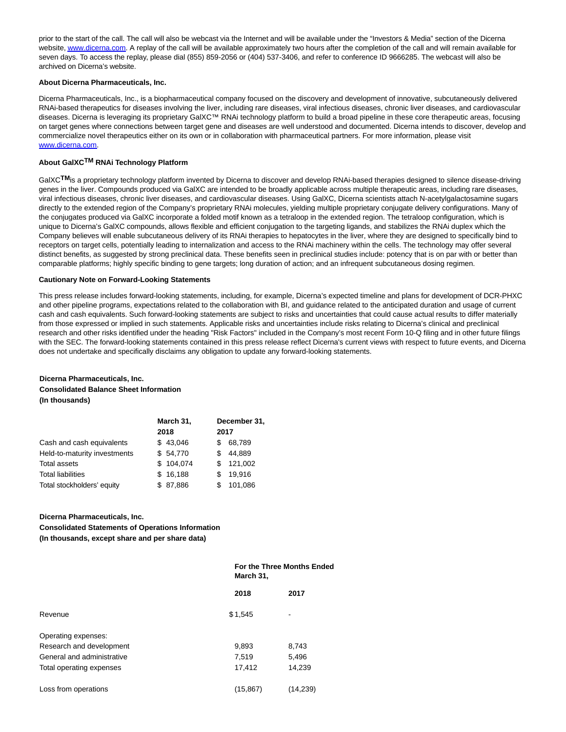prior to the start of the call. The call will also be webcast via the Internet and will be available under the "Investors & Media" section of the Dicerna website[, www.dicerna.com.](http://www.dicerna.com/) A replay of the call will be available approximately two hours after the completion of the call and will remain available for seven days. To access the replay, please dial (855) 859-2056 or (404) 537-3406, and refer to conference ID 9666285. The webcast will also be archived on Dicerna's website.

#### **About Dicerna Pharmaceuticals, Inc.**

Dicerna Pharmaceuticals, Inc., is a biopharmaceutical company focused on the discovery and development of innovative, subcutaneously delivered RNAi-based therapeutics for diseases involving the liver, including rare diseases, viral infectious diseases, chronic liver diseases, and cardiovascular diseases. Dicerna is leveraging its proprietary GalXC™ RNAi technology platform to build a broad pipeline in these core therapeutic areas, focusing on target genes where connections between target gene and diseases are well understood and documented. Dicerna intends to discover, develop and commercialize novel therapeutics either on its own or in collaboration with pharmaceutical partners. For more information, please visit [www.dicerna.com.](http://cts.businesswire.com/ct/CT?id=smartlink&url=http%3A%2F%2Fwww.dicerna.com&esheet=51806112&newsitemid=20180514006261&lan=en-US&anchor=www.dicerna.com&index=3&md5=f87eba676c2463cc403b8abec0508d8b)

# **About GalXCTM RNAi Technology Platform**

GalXC<sup>TM</sup> is a proprietary technology platform invented by Dicerna to discover and develop RNAi-based therapies designed to silence disease-driving genes in the liver. Compounds produced via GalXC are intended to be broadly applicable across multiple therapeutic areas, including rare diseases, viral infectious diseases, chronic liver diseases, and cardiovascular diseases. Using GalXC, Dicerna scientists attach N-acetylgalactosamine sugars directly to the extended region of the Company's proprietary RNAi molecules, yielding multiple proprietary conjugate delivery configurations. Many of the conjugates produced via GalXC incorporate a folded motif known as a tetraloop in the extended region. The tetraloop configuration, which is unique to Dicerna's GalXC compounds, allows flexible and efficient conjugation to the targeting ligands, and stabilizes the RNAi duplex which the Company believes will enable subcutaneous delivery of its RNAi therapies to hepatocytes in the liver, where they are designed to specifically bind to receptors on target cells, potentially leading to internalization and access to the RNAi machinery within the cells. The technology may offer several distinct benefits, as suggested by strong preclinical data. These benefits seen in preclinical studies include: potency that is on par with or better than comparable platforms; highly specific binding to gene targets; long duration of action; and an infrequent subcutaneous dosing regimen.

#### **Cautionary Note on Forward-Looking Statements**

This press release includes forward-looking statements, including, for example, Dicerna's expected timeline and plans for development of DCR-PHXC and other pipeline programs, expectations related to the collaboration with BI, and guidance related to the anticipated duration and usage of current cash and cash equivalents. Such forward-looking statements are subject to risks and uncertainties that could cause actual results to differ materially from those expressed or implied in such statements. Applicable risks and uncertainties include risks relating to Dicerna's clinical and preclinical research and other risks identified under the heading "Risk Factors" included in the Company's most recent Form 10-Q filing and in other future filings with the SEC. The forward-looking statements contained in this press release reflect Dicerna's current views with respect to future events, and Dicerna does not undertake and specifically disclaims any obligation to update any forward-looking statements.

# **Dicerna Pharmaceuticals, Inc. Consolidated Balance Sheet Information (In thousands)**

|                              | March 31, | December 31, |
|------------------------------|-----------|--------------|
|                              | 2018      | 2017         |
| Cash and cash equivalents    | \$43,046  | 68,789       |
| Held-to-maturity investments | \$54.770  | 44.889       |
| <b>Total assets</b>          | \$104,074 | 121,002      |
| <b>Total liabilities</b>     | \$16,188  | 19.916       |
| Total stockholders' equity   | \$ 87,886 | 101,086      |

# **Dicerna Pharmaceuticals, Inc. Consolidated Statements of Operations Information (In thousands, except share and per share data)**

|                            | For the Three Months Ended<br>March 31, |          |
|----------------------------|-----------------------------------------|----------|
|                            | 2018                                    | 2017     |
| Revenue                    | \$1,545                                 |          |
| Operating expenses:        |                                         |          |
| Research and development   | 9,893                                   | 8,743    |
| General and administrative | 7,519                                   | 5,496    |
| Total operating expenses   | 17,412                                  | 14,239   |
| Loss from operations       | (15, 867)                               | (14,239) |